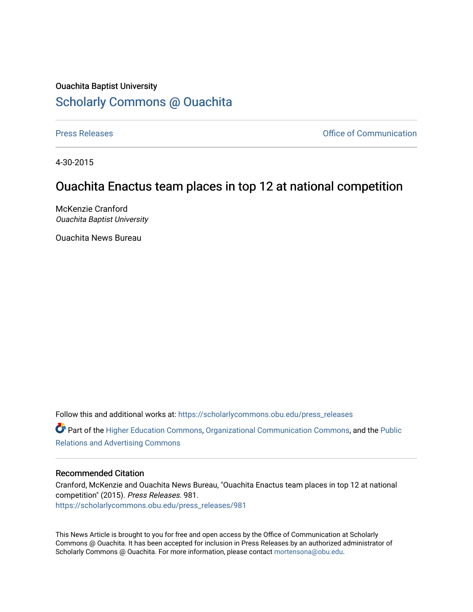## Ouachita Baptist University [Scholarly Commons @ Ouachita](https://scholarlycommons.obu.edu/)

[Press Releases](https://scholarlycommons.obu.edu/press_releases) **Press Releases Communication** 

4-30-2015

# Ouachita Enactus team places in top 12 at national competition

McKenzie Cranford Ouachita Baptist University

Ouachita News Bureau

Follow this and additional works at: [https://scholarlycommons.obu.edu/press\\_releases](https://scholarlycommons.obu.edu/press_releases?utm_source=scholarlycommons.obu.edu%2Fpress_releases%2F981&utm_medium=PDF&utm_campaign=PDFCoverPages)

Part of the [Higher Education Commons,](http://network.bepress.com/hgg/discipline/1245?utm_source=scholarlycommons.obu.edu%2Fpress_releases%2F981&utm_medium=PDF&utm_campaign=PDFCoverPages) [Organizational Communication Commons,](http://network.bepress.com/hgg/discipline/335?utm_source=scholarlycommons.obu.edu%2Fpress_releases%2F981&utm_medium=PDF&utm_campaign=PDFCoverPages) and the [Public](http://network.bepress.com/hgg/discipline/336?utm_source=scholarlycommons.obu.edu%2Fpress_releases%2F981&utm_medium=PDF&utm_campaign=PDFCoverPages) [Relations and Advertising Commons](http://network.bepress.com/hgg/discipline/336?utm_source=scholarlycommons.obu.edu%2Fpress_releases%2F981&utm_medium=PDF&utm_campaign=PDFCoverPages) 

### Recommended Citation

Cranford, McKenzie and Ouachita News Bureau, "Ouachita Enactus team places in top 12 at national competition" (2015). Press Releases. 981. [https://scholarlycommons.obu.edu/press\\_releases/981](https://scholarlycommons.obu.edu/press_releases/981?utm_source=scholarlycommons.obu.edu%2Fpress_releases%2F981&utm_medium=PDF&utm_campaign=PDFCoverPages)

This News Article is brought to you for free and open access by the Office of Communication at Scholarly Commons @ Ouachita. It has been accepted for inclusion in Press Releases by an authorized administrator of Scholarly Commons @ Ouachita. For more information, please contact [mortensona@obu.edu](mailto:mortensona@obu.edu).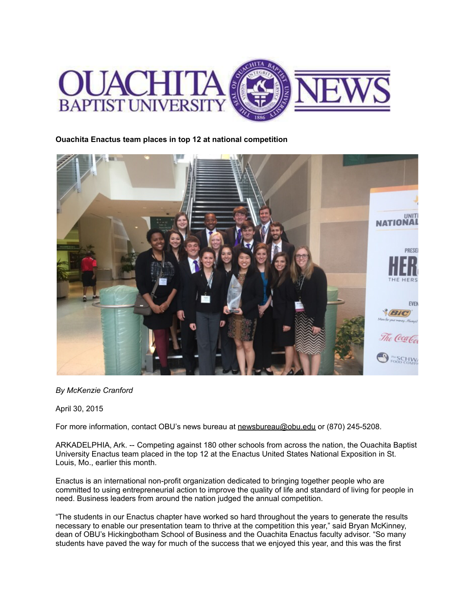

### **Ouachita Enactus team places in top 12 at national competition**



#### *By McKenzie Cranford*

April 30, 2015

For more information, contact OBU's news bureau at [newsbureau@obu.edu](mailto:newsbureau@obu.edu) or (870) 245-5208.

ARKADELPHIA, Ark. -- Competing against 180 other schools from across the nation, the Ouachita Baptist University Enactus team placed in the top 12 at the Enactus United States National Exposition in St. Louis, Mo., earlier this month.

Enactus is an international non-profit organization dedicated to bringing together people who are committed to using entrepreneurial action to improve the quality of life and standard of living for people in need. Business leaders from around the nation judged the annual competition.

"The students in our Enactus chapter have worked so hard throughout the years to generate the results necessary to enable our presentation team to thrive at the competition this year," said Bryan McKinney, dean of OBU's Hickingbotham School of Business and the Ouachita Enactus faculty advisor. "So many students have paved the way for much of the success that we enjoyed this year, and this was the first